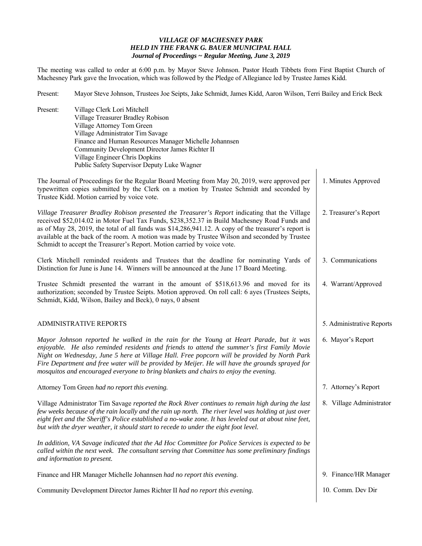## *VILLAGE OF MACHESNEY PARK HELD IN THE FRANK G. BAUER MUNICIPAL HALL Journal of Proceedings ~ Regular Meeting, June 3, 2019*

The meeting was called to order at 6:00 p.m. by Mayor Steve Johnson. Pastor Heath Tibbets from First Baptist Church of Machesney Park gave the Invocation, which was followed by the Pledge of Allegiance led by Trustee James Kidd.

Present: Mayor Steve Johnson, Trustees Joe Seipts, Jake Schmidt, James Kidd, Aaron Wilson, Terri Bailey and Erick Beck

| Present:<br>Village Clerk Lori Mitchell<br>Village Treasurer Bradley Robison<br>Village Attorney Tom Green<br>Village Administrator Tim Savage<br>Finance and Human Resources Manager Michelle Johannsen<br>Community Development Director James Richter II<br>Village Engineer Chris Dopkins<br>Public Safety Supervisor Deputy Luke Wagner                                                                                                                                       |                           |
|------------------------------------------------------------------------------------------------------------------------------------------------------------------------------------------------------------------------------------------------------------------------------------------------------------------------------------------------------------------------------------------------------------------------------------------------------------------------------------|---------------------------|
| The Journal of Proceedings for the Regular Board Meeting from May 20, 2019, were approved per<br>typewritten copies submitted by the Clerk on a motion by Trustee Schmidt and seconded by<br>Trustee Kidd. Motion carried by voice vote.                                                                                                                                                                                                                                           | 1. Minutes Approved       |
| Village Treasurer Bradley Robison presented the Treasurer's Report indicating that the Village<br>received \$52,014.02 in Motor Fuel Tax Funds, \$238,352.37 in Build Machesney Road Funds and<br>as of May 28, 2019, the total of all funds was \$14,286,941.12. A copy of the treasurer's report is<br>available at the back of the room. A motion was made by Trustee Wilson and seconded by Trustee<br>Schmidt to accept the Treasurer's Report. Motion carried by voice vote. | 2. Treasurer's Report     |
| Clerk Mitchell reminded residents and Trustees that the deadline for nominating Yards of<br>Distinction for June is June 14. Winners will be announced at the June 17 Board Meeting.                                                                                                                                                                                                                                                                                               | 3. Communications         |
| Trustee Schmidt presented the warrant in the amount of \$518,613.96 and moved for its<br>authorization; seconded by Trustee Seipts. Motion approved. On roll call: 6 ayes (Trustees Seipts,<br>Schmidt, Kidd, Wilson, Bailey and Beck), 0 nays, 0 absent                                                                                                                                                                                                                           | 4. Warrant/Approved       |
| <b>ADMINISTRATIVE REPORTS</b>                                                                                                                                                                                                                                                                                                                                                                                                                                                      | 5. Administrative Reports |
| Mayor Johnson reported he walked in the rain for the Young at Heart Parade, but it was<br>enjoyable. He also reminded residents and friends to attend the summer's first Family Movie<br>Night on Wednesday, June 5 here at Village Hall. Free popcorn will be provided by North Park<br>Fire Department and free water will be provided by Meijer. He will have the grounds sprayed for<br>mosquitos and encouraged everyone to bring blankets and chairs to enjoy the evening.   | 6. Mayor's Report         |
| Attorney Tom Green had no report this evening.                                                                                                                                                                                                                                                                                                                                                                                                                                     | 7. Attorney's Report      |
| Village Administrator Tim Savage reported the Rock River continues to remain high during the last<br>few weeks because of the rain locally and the rain up north. The river level was holding at just over<br>eight feet and the Sheriff's Police established a no-wake zone. It has leveled out at about nine feet,<br>but with the dryer weather, it should start to recede to under the eight foot level.                                                                       | 8. Village Administrator  |
| In addition, VA Savage indicated that the Ad Hoc Committee for Police Services is expected to be<br>called within the next week. The consultant serving that Committee has some preliminary findings<br>and information to present.                                                                                                                                                                                                                                                |                           |
| Finance and HR Manager Michelle Johannsen had no report this evening.                                                                                                                                                                                                                                                                                                                                                                                                              | 9. Finance/HR Manager     |
| Community Development Director James Richter II had no report this evening.                                                                                                                                                                                                                                                                                                                                                                                                        |                           |
|                                                                                                                                                                                                                                                                                                                                                                                                                                                                                    | 10. Comm. Dev Dir         |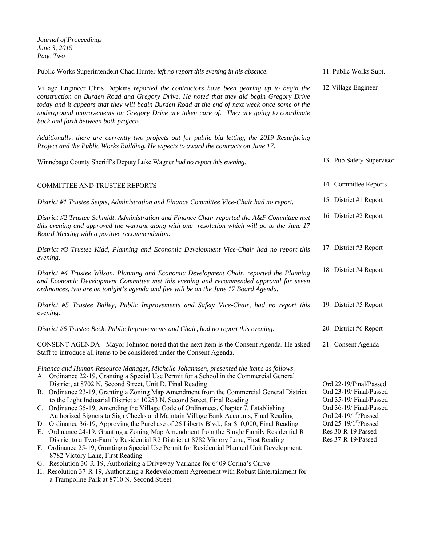| Journal of Proceedings<br>June 3, 2019<br>Page Two                                                                                                                                                                                                                                                                                                                                                                                                                                                                                                                                                                                                                                                                                                                                                                                                                                                                                                                                                                                                                                                                                                                                                                                                            |                                                                                                                                                                                                     |
|---------------------------------------------------------------------------------------------------------------------------------------------------------------------------------------------------------------------------------------------------------------------------------------------------------------------------------------------------------------------------------------------------------------------------------------------------------------------------------------------------------------------------------------------------------------------------------------------------------------------------------------------------------------------------------------------------------------------------------------------------------------------------------------------------------------------------------------------------------------------------------------------------------------------------------------------------------------------------------------------------------------------------------------------------------------------------------------------------------------------------------------------------------------------------------------------------------------------------------------------------------------|-----------------------------------------------------------------------------------------------------------------------------------------------------------------------------------------------------|
| Public Works Superintendent Chad Hunter left no report this evening in his absence.                                                                                                                                                                                                                                                                                                                                                                                                                                                                                                                                                                                                                                                                                                                                                                                                                                                                                                                                                                                                                                                                                                                                                                           | 11. Public Works Supt.                                                                                                                                                                              |
| Village Engineer Chris Dopkins reported the contractors have been gearing up to begin the<br>construction on Burden Road and Gregory Drive. He noted that they did begin Gregory Drive<br>today and it appears that they will begin Burden Road at the end of next week once some of the<br>underground improvements on Gregory Drive are taken care of. They are going to coordinate<br>back and forth between both projects.                                                                                                                                                                                                                                                                                                                                                                                                                                                                                                                                                                                                                                                                                                                                                                                                                                | 12. Village Engineer                                                                                                                                                                                |
| Additionally, there are currently two projects out for public bid letting, the 2019 Resurfacing<br>Project and the Public Works Building. He expects to award the contracts on June 17.                                                                                                                                                                                                                                                                                                                                                                                                                                                                                                                                                                                                                                                                                                                                                                                                                                                                                                                                                                                                                                                                       |                                                                                                                                                                                                     |
| Winnebago County Sheriff's Deputy Luke Wagner had no report this evening.                                                                                                                                                                                                                                                                                                                                                                                                                                                                                                                                                                                                                                                                                                                                                                                                                                                                                                                                                                                                                                                                                                                                                                                     | 13. Pub Safety Supervisor                                                                                                                                                                           |
| <b>COMMITTEE AND TRUSTEE REPORTS</b>                                                                                                                                                                                                                                                                                                                                                                                                                                                                                                                                                                                                                                                                                                                                                                                                                                                                                                                                                                                                                                                                                                                                                                                                                          | 14. Committee Reports                                                                                                                                                                               |
| District #1 Trustee Seipts, Administration and Finance Committee Vice-Chair had no report.                                                                                                                                                                                                                                                                                                                                                                                                                                                                                                                                                                                                                                                                                                                                                                                                                                                                                                                                                                                                                                                                                                                                                                    | 15. District #1 Report                                                                                                                                                                              |
| District #2 Trustee Schmidt, Administration and Finance Chair reported the A&F Committee met<br>this evening and approved the warrant along with one resolution which will go to the June 17<br>Board Meeting with a positive recommendation.                                                                                                                                                                                                                                                                                                                                                                                                                                                                                                                                                                                                                                                                                                                                                                                                                                                                                                                                                                                                                 | 16. District #2 Report                                                                                                                                                                              |
| District #3 Trustee Kidd, Planning and Economic Development Vice-Chair had no report this<br>evening.                                                                                                                                                                                                                                                                                                                                                                                                                                                                                                                                                                                                                                                                                                                                                                                                                                                                                                                                                                                                                                                                                                                                                         | 17. District #3 Report                                                                                                                                                                              |
| District #4 Trustee Wilson, Planning and Economic Development Chair, reported the Planning<br>and Economic Development Committee met this evening and recommended approval for seven<br>ordinances, two are on tonight's agenda and five will be on the June 17 Board Agenda.                                                                                                                                                                                                                                                                                                                                                                                                                                                                                                                                                                                                                                                                                                                                                                                                                                                                                                                                                                                 | 18. District #4 Report                                                                                                                                                                              |
| District #5 Trustee Bailey, Public Improvements and Safety Vice-Chair, had no report this<br>evening.                                                                                                                                                                                                                                                                                                                                                                                                                                                                                                                                                                                                                                                                                                                                                                                                                                                                                                                                                                                                                                                                                                                                                         | 19. District #5 Report                                                                                                                                                                              |
| District #6 Trustee Beck, Public Improvements and Chair, had no report this evening.                                                                                                                                                                                                                                                                                                                                                                                                                                                                                                                                                                                                                                                                                                                                                                                                                                                                                                                                                                                                                                                                                                                                                                          | 20. District #6 Report                                                                                                                                                                              |
| CONSENT AGENDA - Mayor Johnson noted that the next item is the Consent Agenda. He asked<br>Staff to introduce all items to be considered under the Consent Agenda.                                                                                                                                                                                                                                                                                                                                                                                                                                                                                                                                                                                                                                                                                                                                                                                                                                                                                                                                                                                                                                                                                            | 21. Consent Agenda                                                                                                                                                                                  |
| Finance and Human Resource Manager, Michelle Johannsen, presented the items as follows:<br>A. Ordinance 22-19, Granting a Special Use Permit for a School in the Commercial General<br>District, at 8702 N. Second Street, Unit D, Final Reading<br>B. Ordinance 23-19, Granting a Zoning Map Amendment from the Commercial General District<br>to the Light Industrial District at 10253 N. Second Street, Final Reading<br>C. Ordinance 35-19, Amending the Village Code of Ordinances, Chapter 7, Establishing<br>Authorized Signers to Sign Checks and Maintain Village Bank Accounts, Final Reading<br>D. Ordinance 36-19, Approving the Purchase of 26 Liberty Blvd., for \$10,000, Final Reading<br>E. Ordinance 24-19, Granting a Zoning Map Amendment from the Single Family Residential R1<br>District to a Two-Family Residential R2 District at 8782 Victory Lane, First Reading<br>F. Ordinance 25-19, Granting a Special Use Permit for Residential Planned Unit Development,<br>8782 Victory Lane, First Reading<br>G. Resolution 30-R-19, Authorizing a Driveway Variance for 6409 Corina's Curve<br>H. Resolution 37-R-19, Authorizing a Redevelopment Agreement with Robust Entertainment for<br>a Trampoline Park at 8710 N. Second Street | Ord 22-19/Final/Passed<br>Ord 23-19/ Final/Passed<br>Ord 35-19/ Final/Passed<br>Ord 36-19/ Final/Passed<br>Ord 24-19/1st/Passed<br>Ord 25-19/1st/Passed<br>Res 30-R-19 Passed<br>Res 37-R-19/Passed |